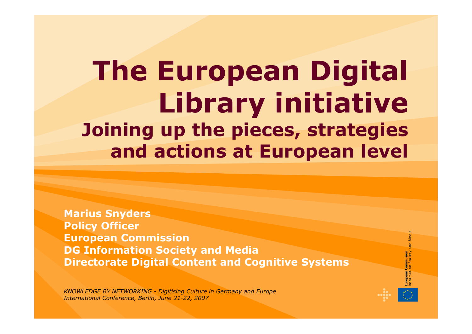# **The European Digital Library initiative Joining up the pieces, strategies and actions at European level**

**Marius Snyders Policy Officer European Commission DG Information Society and Media Directorate Digital Content and Cognitive Systems**

*KNOWLEDGE BY NETWORKING - Digitising Culture in Germany and Europe International Conference, Berlin, June 21-22, 2007*

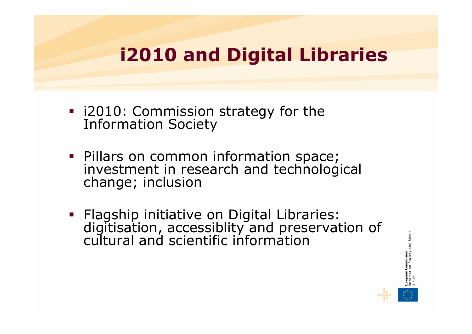### **i2010 and Digital Libraries**

- i2010: Commission strategy for the Information Society
- Pillars on common information space; investment in research and technological change; inclusion
- Flagship initiative on Digital Libraries: digitisation, accessiblity and preservation of cultural and scientific information

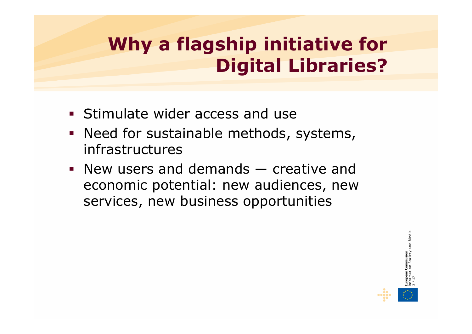## **Why a flagship initiative for Digital Libraries?**

- **Stimulate wider access and use**
- **Need for sustainable methods, systems,** infrastructures
- New users and demands ― creative and economic potential: new audiences, new services, new business opportunities

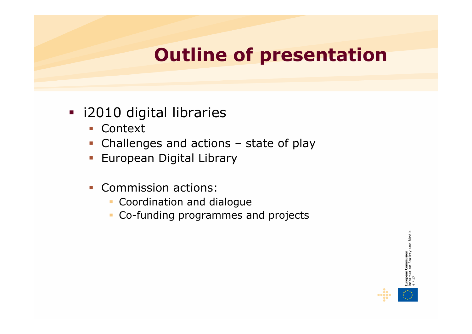## **Outline of presentation**

- **i** i2010 digital libraries
	- Context
	- Challenges and actions state of play
	- **European Digital Library**
	- Commission actions:
		- Coordination and dialogue
		- $\mathcal{L}_{\mathcal{A}}$ Co-funding programmes and projects

**European Commission**<br>Information Society and Media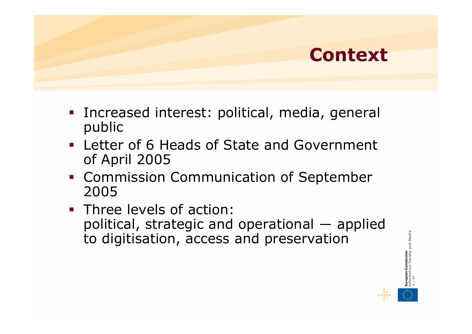

- Increased interest: political, media, general public
- Letter of 6 Heads of State and Government of April 2005
- **Commission Communication of September** 2005
- **Three levels of action:** political, strategic and operational ― applied to digitisation, access and preservation



**5 / 17**

and Media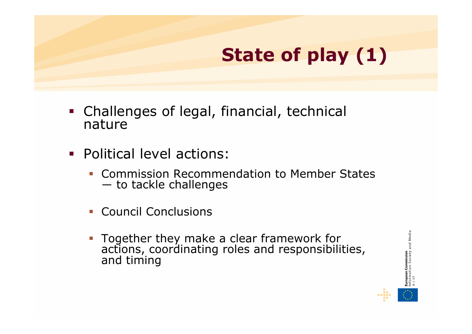# **State of play (1)**

- Challenges of legal, financial, technical nature
- Political level actions:
	- **EXECOMMISSION Recommendation to Member States** ― to tackle challenges
	- Council Conclusions
	- Together they make a clear framework for actions, coordinating roles and responsibilities, and timing

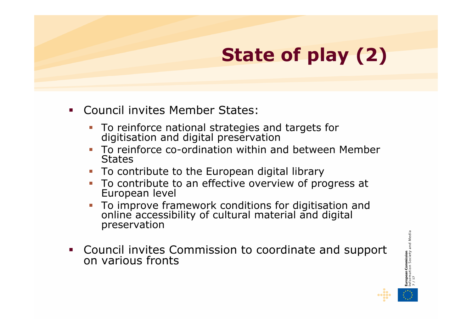## **State of play (2)**

- Council invites Member States:
	- To reinforce national strategies and targets for digitisation and digital preservation
	- To reinforce co-ordination within and between Member **States**
	- To contribute to the European digital library
	- To contribute to an effective overview of progress at<br>European level
	- г To improve framework conditions for digitisation and online accessibility of cultural material and digital preservation
- $\mathcal{L}(\mathcal{L})$ Council invites Commission to coordinate and support on various fronts

**European Commission**<br>Information Society and Media **7 / 17**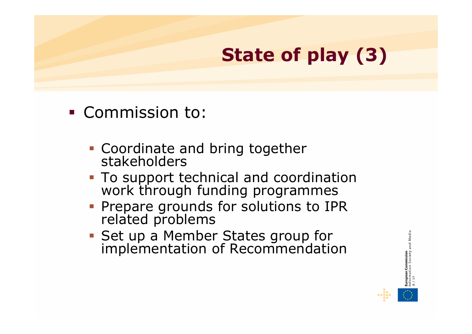## **State of play (3)**

- Commission to:
	- **Coordinate and bring together<br>stakeholders**
	- To support technical and coordination work through funding programmes
	- Prepare grounds for solutions to IPR related problems
	- Set up a Member States group for implementation of Recommendation

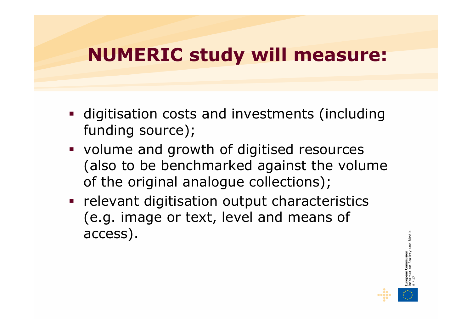#### **NUMERIC study will measure:**

- **digitisation costs and investments (including** funding source);
- volume and growth of digitised resources (also to be benchmarked against the volume of the original analogue collections);
- **Paragelevant digitisation output characteristics** (e.g. image or text, level and means of access).

**9 / 17**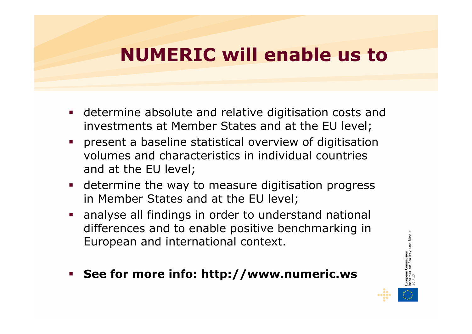#### **NUMERIC will enable us to**

- determine absolute and relative digitisation costs and investments at Member States and at the EU level;
- $\mathcal{L}(\mathcal{L})$  present a baseline statistical overview of digitisation volumes and characteristics in individual countries and at the EU level;
- determine the way to measure digitisation progress in Member States and at the EU level;
- analyse all findings in order to understand national differences and to enable positive benchmarking in European and international context.
- **See for more info: http://www.numeric.ws**

**10 / 17**

Media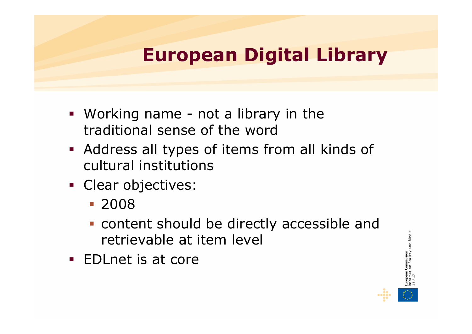### **European Digital Library**

- Working name not a library in the traditional sense of the word
- Address all types of items from all kinds of cultural institutions
- **Clear objectives:** 
	- 2008
	- content should be directly accessible and retrievable at item level
- EDLnet is at core

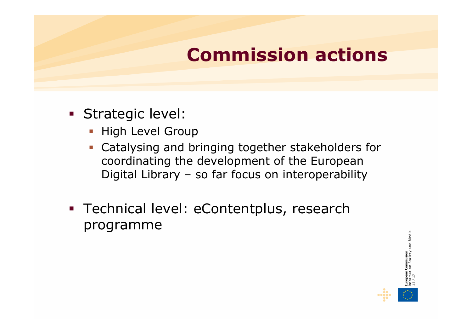## **Commission actions**

- Strategic level:
	- **-** High Level Group
	- Catalysing and bringing together stakeholders for coordinating the development of the European Digital Library – so far focus on interoperability
- **Technical level: eContentplus, research** programme

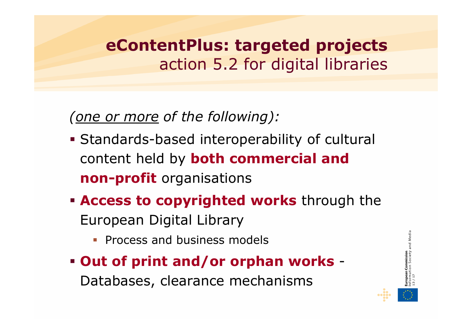#### **eContentPlus: targeted projects**  action 5.2 for digital libraries

*(one or more of the following):*

- Standards-based interoperability of cultural content held by **both commercial and non-profit** organisations
- **Access to copyrighted works** through the European Digital Library
	- **Process and business models**
- **Out of print and/or orphan works** -Databases, clearance mechanisms

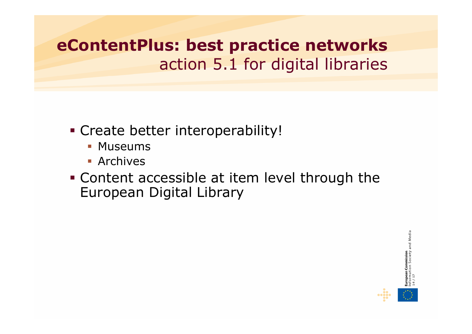**eContentPlus: best practice networks**  action 5.1 for digital libraries

- Create better interoperability!
	- **Museums**
	- **Archives**
- Content accessible at item level through the European Digital Library

Media **14 / 17**

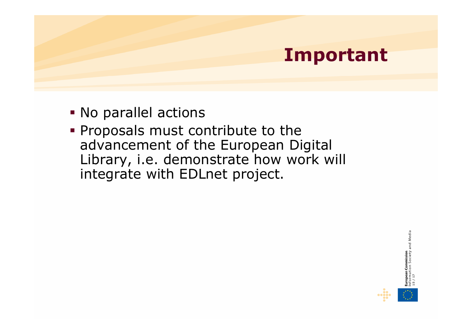#### **Important**

- No parallel actions
- **Proposals must contribute to the** advancement of the European Digital Library, i.e. demonstrate how work will integrate with EDLnet project.

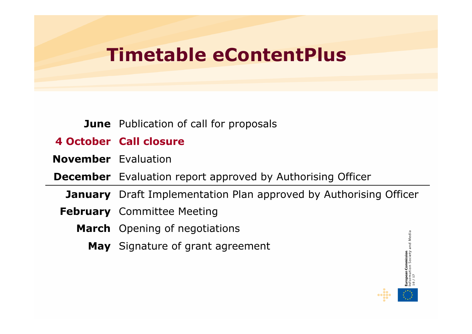#### **Timetable eContentPlus**

#### **June** Publication of call for proposals

#### **4 October Call closure**

**November** Evaluation

**December** Evaluation report approved by Authorising Officer

**January** Draft Implementation Plan approved by Authorising Officer

- **February** Committee Meeting
	- **March** Opening of negotiations
		- **May** Signature of grant agreement